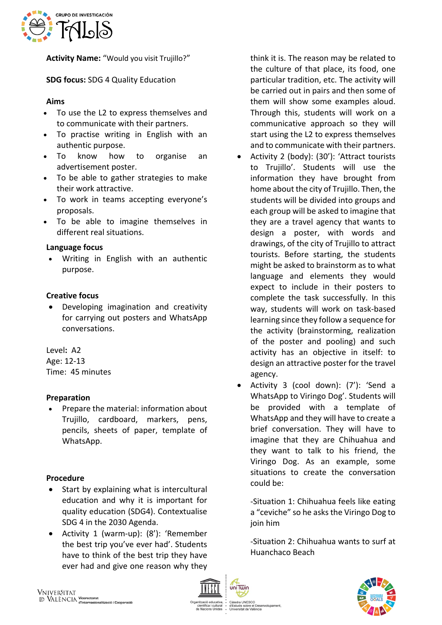

**Activity Name:** "Would you visit Trujillo?"

**SDG focus:** SDG 4 Quality Education

# **Aims**

- To use the L2 to express themselves and to communicate with their partners.
- To practise writing in English with an authentic purpose.
- To know how to organise an advertisement poster.
- To be able to gather strategies to make their work attractive.
- To work in teams accepting everyone's proposals.
- To be able to imagine themselves in different real situations.

## **Language focus**

• Writing in English with an authentic purpose.

# **Creative focus**

• Developing imagination and creativity for carrying out posters and WhatsApp conversations.

Level**:** A2 Age: 12-13 Time: 45 minutes

# **Preparation**

• Prepare the material: information about Trujillo, cardboard, markers, pens, pencils, sheets of paper, template of WhatsApp.

## **Procedure**

- Start by explaining what is intercultural education and why it is important for quality education (SDG4). Contextualise SDG 4 in the 2030 Agenda.
- Activity 1 (warm-up): (8'): 'Remember the best trip you've ever had'. Students have to think of the best trip they have ever had and give one reason why they

think it is. The reason may be related to the culture of that place, its food, one particular tradition, etc. The activity will be carried out in pairs and then some of them will show some examples aloud. Through this, students will work on a communicative approach so they will start using the L2 to express themselves and to communicate with their partners.

- Activity 2 (body): (30'): 'Attract tourists to Trujillo'. Students will use the information they have brought from home about the city of Trujillo. Then, the students will be divided into groups and each group will be asked to imagine that they are a travel agency that wants to design a poster, with words and drawings, of the city of Trujillo to attract tourists. Before starting, the students might be asked to brainstorm as to what language and elements they would expect to include in their posters to complete the task successfully. In this way, students will work on task-based learning since they follow a sequence for the activity (brainstorming, realization of the poster and pooling) and such activity has an objective in itself: to design an attractive poster for the travel agency.
- Activity 3 (cool down): (7'): 'Send a WhatsApp to Viringo Dog'. Students will be provided with a template of WhatsApp and they will have to create a brief conversation. They will have to imagine that they are Chihuahua and they want to talk to his friend, the Viringo Dog. As an example, some situations to create the conversation could be:

-Situation 1: Chihuahua feels like eating a "ceviche" so he asks the Viringo Dog to join him

-Situation 2: Chihuahua wants to surf at Huanchaco Beach



iCO<br>e el Desenvolupament

uis sobre el Des<br>sitat de València